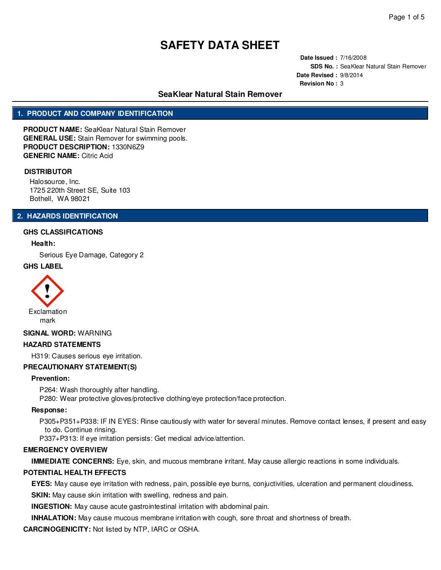**Date Issued :** 7/16/2008 **SDS No. :** SeaKlear Natural Stain Remover **Date Revised :** 9/8/2014 **Revision No :** 3

## **SeaKlear Natural Stain Remover**

## **1. PRODUCT AND COMPANY IDENTIFICATION**

**PRODUCT NAME:** SeaKlear Natural Stain Remover **GENERAL USE:** Stain Remover for swimming pools. **PRODUCT DESCRIPTION:** 1330N6Z9 **GENERIC NAME:** Citric Acid

### **DISTRIBUTOR**

Halosource, Inc. 1725 220th Street SE, Suite 103 Bothell, WA 98021

## **2. HAZARDS IDENTIFICATION**

### **GHS CLASSIFICATIONS**

### **Health:**

Serious Eye Damage, Category 2

### **GHS LABEL**



#### **SIGNAL WORD:** WARNING

### **HAZARD STATEMENTS**

H319: Causes serious eye irritation.

### **PRECAUTIONARY STATEMENT(S)**

#### **Prevention:**

P264: Wash thoroughly after handling.

P280: Wear protective gloves/protective clothing/eye protection/face protection.

#### **Response:**

P305+P351+P338: IF IN EYES: Rinse cautiously with water for several minutes. Remove contact lenses, if present and easy to do. Continue rinsing.

P337+P313: If eye irritation persists: Get medical advice/attention.

### **EMERGENCY OVERVIEW**

**IMMEDIATE CONCERNS:** Eye, skin, and mucous membrane irritant. May cause allergic reactions in some individuals.

### **POTENTIAL HEALTH EFFECTS**

**EYES:** May cause eye irritation with redness, pain, possible eye burns, conjuctivities, ulceration and permanent cloudiness.

**SKIN:** May cause skin irritation with swelling, redness and pain.

**INGESTION:** May cause acute gastrointestinal irritation with abdominal pain.

**INHALATION:** May cause mucous membrane irritation with cough, sore throat and shortness of breath.

**CARCINOGENICITY:** Not listed by NTP, IARC or OSHA.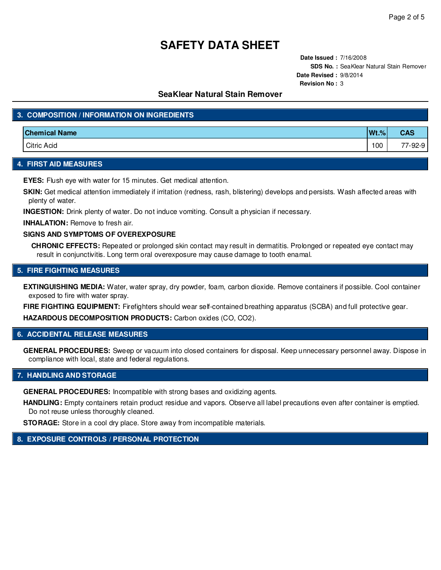**Date Issued :** 7/16/2008 **SDS No. :** SeaKlear Natural Stain Remover **Date Revised :** 9/8/2014 **Revision No :** 3

## **SeaKlear Natural Stain Remover**

## **3. COMPOSITION / INFORMATION ON INGREDIENTS**

| <b>Chemical Name</b> | $Wt$ .% | <b>CAS</b>         |
|----------------------|---------|--------------------|
| <b>Citric Acid</b>   | 100     | 77<br>$7 - 92 - 9$ |

### **4. FIRST AID MEASURES**

**EYES:** Flush eye with water for 15 minutes. Get medical attention.

**SKIN:** Get medical attention immediately if irritation (redness, rash, blistering) develops and persists. Wash affected areas with plenty of water.

**INGESTION:** Drink plenty of water. Do not induce vomiting. Consult a physician if necessary.

**INHALATION:** Remove to fresh air.

### **SIGNS AND SYMPTOMS OF OVEREXPOSURE**

**CHRONIC EFFECTS:** Repeated or prolonged skin contact may result in dermatitis. Prolonged or repeated eye contact may result in conjunctivitis. Long term oral overexposure may cause damage to tooth enamal.

### **5. FIRE FIGHTING MEASURES**

**EXTINGUISHING MEDIA:** Water, water spray, dry powder, foam, carbon dioxide. Remove containers if possible. Cool container exposed to fire with water spray.

**FIRE FIGHTING EQUIPMENT:** Firefighters should wear self-contained breathing apparatus (SCBA) and full protective gear. **HAZARDOUS DECOMPOSITION PRODUCTS:** Carbon oxides (CO, CO2).

### **6. ACCIDENTAL RELEASE MEASURES**

**GENERAL PROCEDURES:** Sweep or vacuum into closed containers for disposal. Keep unnecessary personnel away. Dispose in compliance with local, state and federal regulations.

### **7. HANDLING AND STORAGE**

**GENERAL PROCEDURES:** Incompatible with strong bases and oxidizing agents.

**HANDLING:** Empty containers retain product residue and vapors. Observe all label precautions even after container is emptied. Do not reuse unless thoroughly cleaned.

**STORAGE:** Store in a cool dry place. Store away from incompatible materials.

## **8. EXPOSURE CONTROLS / PERSONAL PROTECTION**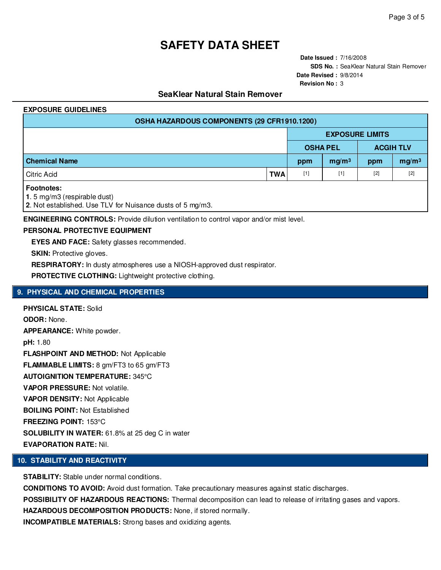**Date Issued :** 7/16/2008 **SDS No. :** SeaKlear Natural Stain Remover **Date Revised :** 9/8/2014 **Revision No :** 3

## **SeaKlear Natural Stain Remover**

### **EXPOSURE GUIDELINES**

| OSHA HAZARDOUS COMPONENTS (29 CFR1910.1200)                                                                    |            |                 |                        |                  |                   |  |  |  |
|----------------------------------------------------------------------------------------------------------------|------------|-----------------|------------------------|------------------|-------------------|--|--|--|
|                                                                                                                |            |                 | <b>EXPOSURE LIMITS</b> |                  |                   |  |  |  |
|                                                                                                                |            | <b>OSHA PEL</b> |                        | <b>ACGIH TLV</b> |                   |  |  |  |
| <b>Chemical Name</b>                                                                                           |            | ppm             | mg/m <sup>3</sup>      | ppm              | mg/m <sup>3</sup> |  |  |  |
| Citric Acid                                                                                                    | <b>TWA</b> | $[1]$           | $[1]$                  | $[2]$            | $[2]$             |  |  |  |
| <b>Footnotes:</b><br>1.5 mg/m3 (respirable dust)<br>2. Not established. Use TLV for Nuisance dusts of 5 mg/m3. |            |                 |                        |                  |                   |  |  |  |

**ENGINEERING CONTROLS:** Provide dilution ventilation to control vapor and/or mist level.

### **PERSONAL PROTECTIVE EQUIPMENT**

**EYES AND FACE:** Safety glasses recommended.

**SKIN:** Protective gloves.

**RESPIRATORY:** In dusty atmospheres use a NIOSH-approved dust respirator.

PROTECTIVE CLOTHING: Lightweight protective clothing.

## **9. PHYSICAL AND CHEMICAL PROPERTIES**

**PHYSICAL STATE:** Solid **ODOR:** None. **APPEARANCE:** White powder. **pH:** 1.80 **FLASHPOINT AND METHOD:** Not Applicable **FLAMMABLE LIMITS:** 8 gm/FT3 to 65 gm/FT3 **AUTOIGNITION TEMPERATURE:** 345°C **VAPOR PRESSURE:** Not volatile. **VAPOR DENSITY:** Not Applicable **BOILING POINT:** Not Established **FREEZING POINT:** 153°C **SOLUBILITY IN WATER:** 61.8% at 25 deg C in water **EVAPORATION RATE:** Nil.

## **10. STABILITY AND REACTIVITY**

**STABILITY:** Stable under normal conditions.

**CONDITIONS TO AVOID:** Avoid dust formation. Take precautionary measures against static discharges. **POSSIBILITY OF HAZARDOUS REACTIONS:** Thermal decomposition can lead to release of irritating gases and vapors. **HAZARDOUS DECOMPOSITION PRODUCTS:** None, if stored normally. **INCOMPATIBLE MATERIALS:** Strong bases and oxidizing agents.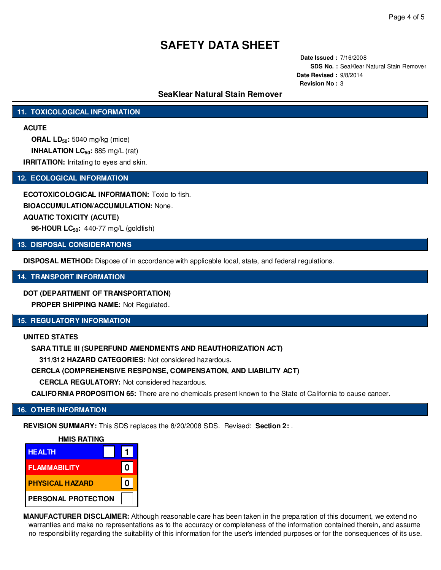**Date Issued :** 7/16/2008 **SDS No. :** SeaKlear Natural Stain Remover **Date Revised :** 9/8/2014 **Revision No :** 3

## **SeaKlear Natural Stain Remover**

## **11. TOXICOLOGICAL INFORMATION**

## **ACUTE**

**ORAL LD50:** 5040 mg/kg (mice) **INHALATION LC50:** 885 mg/L (rat) **IRRITATION:** Irritating to eyes and skin.

## **12. ECOLOGICAL INFORMATION**

**ECOTOXICOLOGICAL INFORMATION:** Toxic to fish. **BIOACCUMULATION/ACCUMULATION:** None. **AQUATIC TOXICITY (ACUTE) 96-HOUR LC50:** 440-77 mg/L (goldfish)

### **13. DISPOSAL CONSIDERATIONS**

**DISPOSAL METHOD:** Dispose of in accordance with applicable local, state, and federal regulations.

### **14. TRANSPORT INFORMATION**

## **DOT (DEPARTMENT OF TRANSPORTATION)**

**PROPER SHIPPING NAME:** Not Regulated.

## **15. REGULATORY INFORMATION**

### **UNITED STATES**

**SARA TITLE III (SUPERFUND AMENDMENTS AND REAUTHORIZATION ACT)**

**311/312 HAZARD CATEGORIES:** Not considered hazardous.

## **CERCLA (COMPREHENSIVE RESPONSE, COMPENSATION, AND LIABILITY ACT)**

**CERCLA REGULATORY:** Not considered hazardous.

**CALIFORNIA PROPOSITION 65:** There are no chemicals present known to the State of California to cause cancer.

## **16. OTHER INFORMATION**

**REVISION SUMMARY:** This SDS replaces the 8/20/2008 SDS. Revised: **Section 2:** .



**MANUFACTURER DISCLAIMER:** Although reasonable care has been taken in the preparation of this document, we extend no warranties and make no representations as to the accuracy or completeness of the information contained therein, and assume no responsibility regarding the suitability of this information for the user's intended purposes or for the consequences of its use.